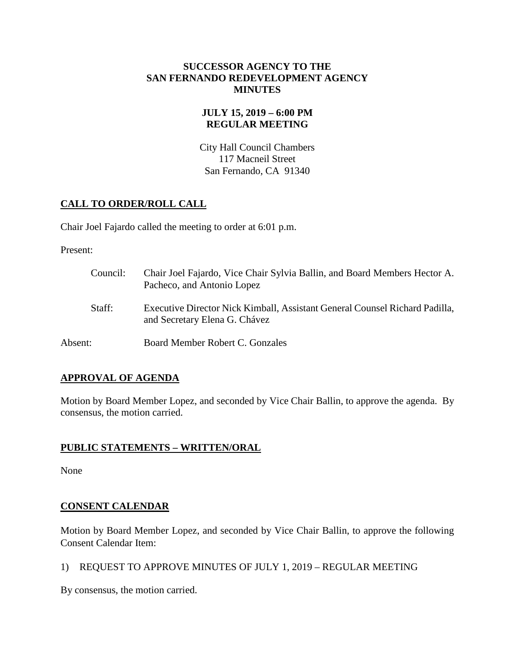### **SUCCESSOR AGENCY TO THE SAN FERNANDO REDEVELOPMENT AGENCY MINUTES**

## **JULY 15, 2019 – 6:00 PM REGULAR MEETING**

City Hall Council Chambers 117 Macneil Street San Fernando, CA 91340

## **CALL TO ORDER/ROLL CALL**

Chair Joel Fajardo called the meeting to order at 6:01 p.m.

Present:

| Council: | Chair Joel Fajardo, Vice Chair Sylvia Ballin, and Board Members Hector A.<br>Pacheco, and Antonio Lopez      |
|----------|--------------------------------------------------------------------------------------------------------------|
| Staff:   | Executive Director Nick Kimball, Assistant General Counsel Richard Padilla,<br>and Secretary Elena G. Chávez |
| Absent:  | Board Member Robert C. Gonzales                                                                              |

# **APPROVAL OF AGENDA**

Motion by Board Member Lopez, and seconded by Vice Chair Ballin, to approve the agenda. By consensus, the motion carried.

## **PUBLIC STATEMENTS – WRITTEN/ORAL**

None

# **CONSENT CALENDAR**

Motion by Board Member Lopez, and seconded by Vice Chair Ballin, to approve the following Consent Calendar Item:

1) REQUEST TO APPROVE MINUTES OF JULY 1, 2019 – REGULAR MEETING

By consensus, the motion carried.